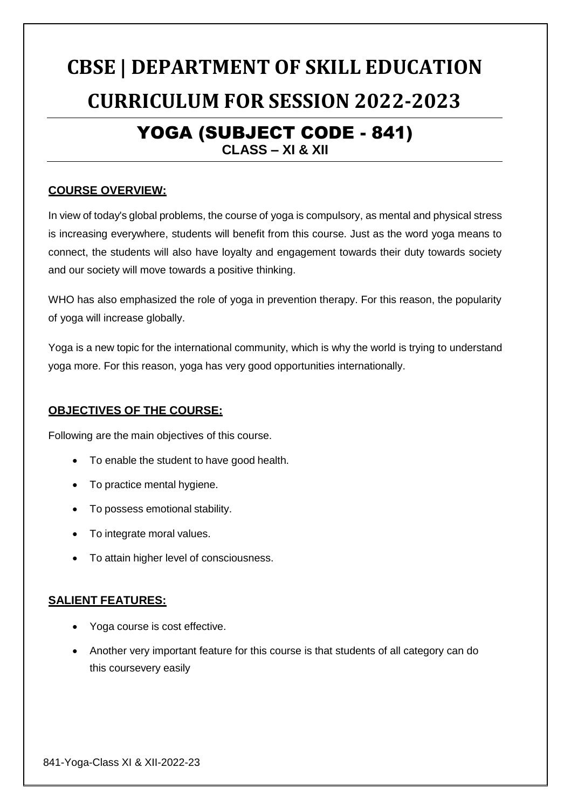# **CBSE | DEPARTMENT OF SKILL EDUCATION CURRICULUM FOR SESSION 2022-2023**

## YOGA (SUBJECT CODE - 841)

**CLASS – XI & XII**

## **COURSE OVERVIEW:**

In view of today's global problems, the course of yoga is compulsory, as mental and physical stress is increasing everywhere, students will benefit from this course. Just as the word yoga means to connect, the students will also have loyalty and engagement towards their duty towards society and our society will move towards a positive thinking.

WHO has also emphasized the role of yoga in prevention therapy. For this reason, the popularity of yoga will increase globally.

Yoga is a new topic for the international community, which is why the world is trying to understand yoga more. For this reason, yoga has very good opportunities internationally.

## **OBJECTIVES OF THE COURSE:**

Following are the main objectives of this course.

- To enable the student to have good health.
- To practice mental hygiene.
- To possess emotional stability.
- To integrate moral values.
- To attain higher level of consciousness.

## **SALIENT FEATURES:**

- Yoga course is cost effective.
- Another very important feature for this course is that students of all category can do this coursevery easily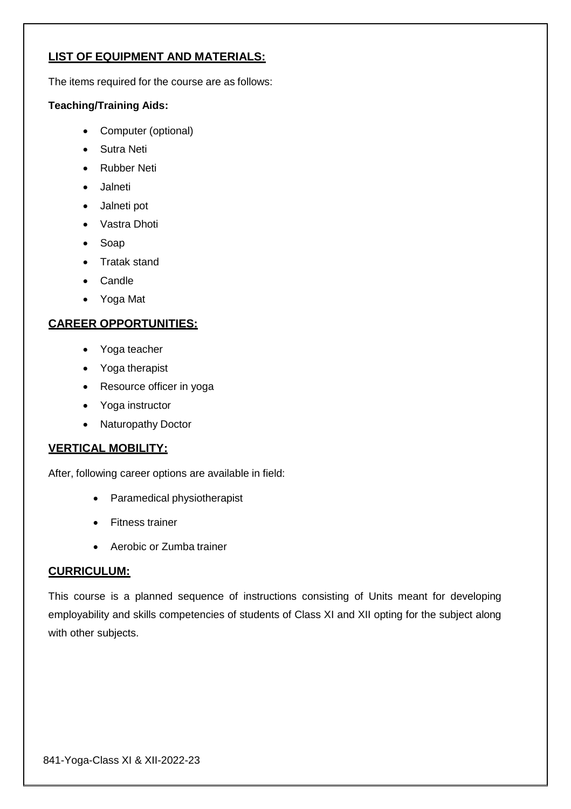## **LIST OF EQUIPMENT AND MATERIALS:**

The items required for the course are as follows:

#### **Teaching/Training Aids:**

- Computer (optional)
- Sutra Neti
- Rubber Neti
- Jalneti
- Jalneti pot
- Vastra Dhoti
- Soap
- Tratak stand
- Candle
- Yoga Mat

## **CAREER OPPORTUNITIES:**

- Yoga teacher
- Yoga therapist
- Resource officer in yoga
- Yoga instructor
- Naturopathy Doctor

## **VERTICAL MOBILITY:**

After, following career options are available in field:

- Paramedical physiotherapist
- Fitness trainer
- Aerobic or Zumba trainer

#### **CURRICULUM:**

This course is a planned sequence of instructions consisting of Units meant for developing employability and skills competencies of students of Class XI and XII opting for the subject along with other subjects.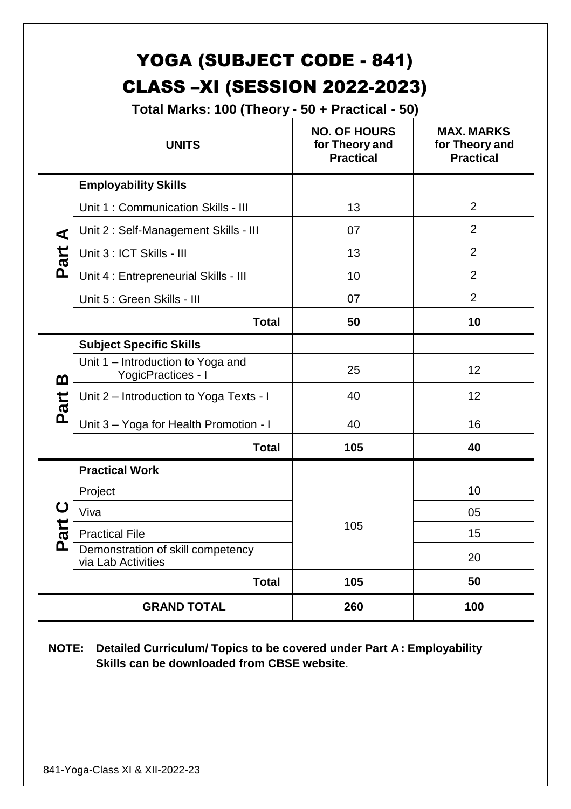## YOGA (SUBJECT CODE - 841) CLASS –XI (SESSION 2022-2023)

**Total Marks: 100 (Theory - 50 + Practical - 50)**

|          | <b>UNITS</b>                                                   | <b>NO. OF HOURS</b><br>for Theory and<br><b>Practical</b> | <b>MAX. MARKS</b><br>for Theory and<br><b>Practical</b> |
|----------|----------------------------------------------------------------|-----------------------------------------------------------|---------------------------------------------------------|
|          | <b>Employability Skills</b>                                    |                                                           |                                                         |
|          | Unit 1: Communication Skills - III                             | 13                                                        | $\overline{2}$                                          |
| ⋖        | Unit 2 : Self-Management Skills - III                          | 07                                                        | $\overline{2}$                                          |
| Part     | Unit 3 : ICT Skills - III                                      | 13                                                        | $\overline{2}$                                          |
|          | Unit 4 : Entrepreneurial Skills - III                          | 10                                                        | $\overline{2}$                                          |
|          | Unit 5 : Green Skills - III                                    | 07                                                        | $\overline{2}$                                          |
|          | <b>Total</b>                                                   | 50                                                        | 10                                                      |
|          | <b>Subject Specific Skills</b>                                 |                                                           |                                                         |
| മ        | Unit 1 – Introduction to Yoga and<br><b>YogicPractices - I</b> | 25                                                        | 12                                                      |
| art      | Unit 2 – Introduction to Yoga Texts - I                        | 40                                                        | 12                                                      |
| <u>ռ</u> | Unit 3 - Yoga for Health Promotion - I                         | 40                                                        | 16                                                      |
|          | <b>Total</b>                                                   | 105                                                       | 40                                                      |
|          | <b>Practical Work</b>                                          |                                                           |                                                         |
|          | Project                                                        | 105                                                       | 10                                                      |
| ပ        | Viva                                                           |                                                           | 05                                                      |
| art      | <b>Practical File</b>                                          |                                                           | 15                                                      |
| Δ        | Demonstration of skill competency<br>via Lab Activities        |                                                           | 20                                                      |
|          | <b>Total</b>                                                   | 105                                                       | 50                                                      |
|          | <b>GRAND TOTAL</b>                                             | 260                                                       | 100                                                     |

**NOTE: Detailed Curriculum/ Topics to be covered under Part A: Employability Skills can be downloaded from CBSE website**.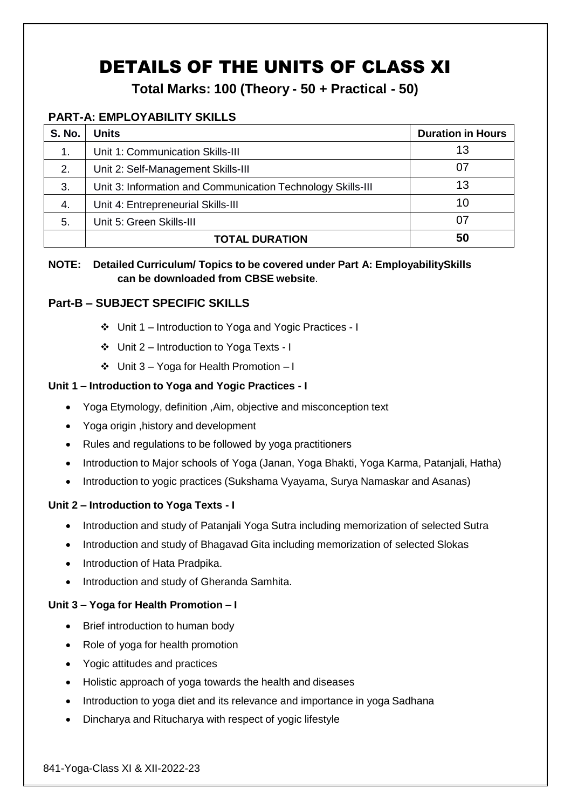## DETAILS OF THE UNITS OF CLASS XI

**Total Marks: 100 (Theory - 50 + Practical - 50)**

## **PART-A: EMPLOYABILITY SKILLS**

| <b>S. No.</b> | <b>Units</b>                                                | <b>Duration in Hours</b> |
|---------------|-------------------------------------------------------------|--------------------------|
| 1.            | Unit 1: Communication Skills-III                            | 13                       |
| 2.            | Unit 2: Self-Management Skills-III                          | 07                       |
| 3.            | Unit 3: Information and Communication Technology Skills-III | 13                       |
| 4.            | Unit 4: Entrepreneurial Skills-III                          | 10                       |
| 5.            | Unit 5: Green Skills-III                                    | 07                       |
|               | <b>TOTAL DURATION</b>                                       | 50                       |

## **NOTE: Detailed Curriculum/ Topics to be covered under Part A: EmployabilitySkills can be downloaded from CBSE website**.

## **Part-B – SUBJECT SPECIFIC SKILLS**

- Unit 1 Introduction to Yoga and Yogic Practices I
- Unit 2 Introduction to Yoga Texts I
- Unit 3 Yoga for Health Promotion I

## **Unit 1 – Introduction to Yoga and Yogic Practices - I**

- Yoga Etymology, definition ,Aim, objective and misconception text
- Yoga origin ,history and development
- Rules and regulations to be followed by yoga practitioners
- Introduction to Major schools of Yoga (Janan, Yoga Bhakti, Yoga Karma, Patanjali, Hatha)
- Introduction to yogic practices (Sukshama Vyayama, Surya Namaskar and Asanas)

## **Unit 2 – Introduction to Yoga Texts - I**

- Introduction and study of Patanjali Yoga Sutra including memorization of selected Sutra
- Introduction and study of Bhagavad Gita including memorization of selected Slokas
- Introduction of Hata Pradpika.
- Introduction and study of Gheranda Samhita.

## **Unit 3 – Yoga for Health Promotion – I**

- Brief introduction to human body
- Role of yoga for health promotion
- Yogic attitudes and practices
- Holistic approach of yoga towards the health and diseases
- Introduction to yoga diet and its relevance and importance in yoga Sadhana
- Dincharya and Ritucharya with respect of yogic lifestyle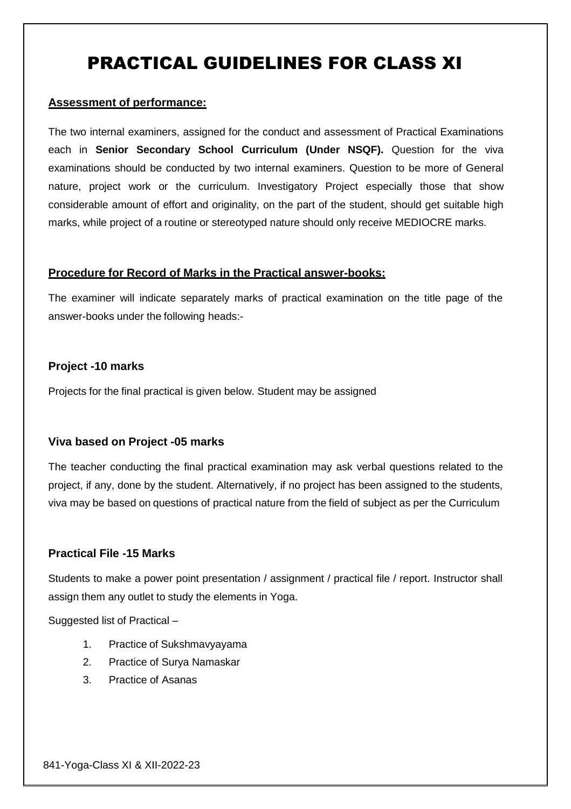## PRACTICAL GUIDELINES FOR CLASS XI

#### **Assessment of performance:**

The two internal examiners, assigned for the conduct and assessment of Practical Examinations each in **Senior Secondary School Curriculum (Under NSQF).** Question for the viva examinations should be conducted by two internal examiners. Question to be more of General nature, project work or the curriculum. Investigatory Project especially those that show considerable amount of effort and originality, on the part of the student, should get suitable high marks, while project of a routine or stereotyped nature should only receive MEDIOCRE marks.

#### **Procedure for Record of Marks in the Practical answer-books:**

The examiner will indicate separately marks of practical examination on the title page of the answer-books under the following heads:-

#### **Project -10 marks**

Projects for the final practical is given below. Student may be assigned

#### **Viva based on Project -05 marks**

The teacher conducting the final practical examination may ask verbal questions related to the project, if any, done by the student. Alternatively, if no project has been assigned to the students, viva may be based on questions of practical nature from the field of subject as per the Curriculum

#### **Practical File -15 Marks**

Students to make a power point presentation / assignment / practical file / report. Instructor shall assign them any outlet to study the elements in Yoga.

Suggested list of Practical –

- 1. Practice of Sukshmavyayama
- 2. Practice of Surya Namaskar
- 3. Practice of Asanas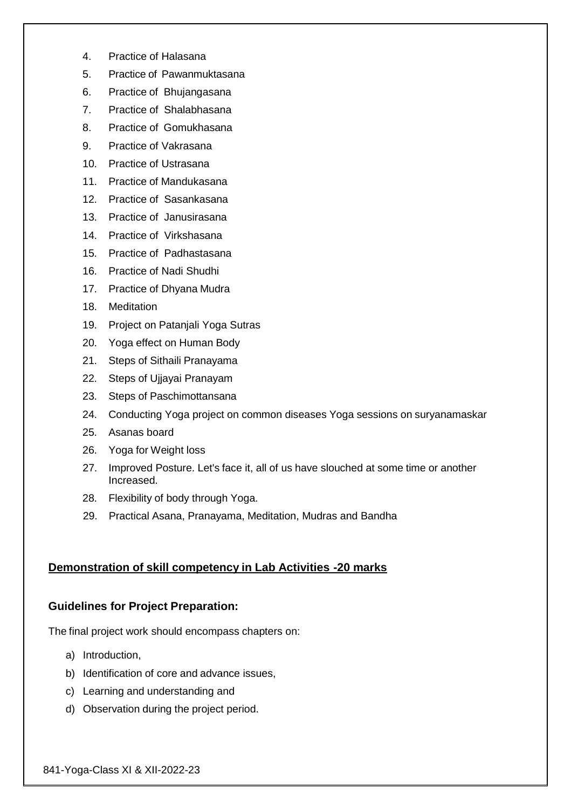- 4. Practice of Halasana
- 5. Practice of Pawanmuktasana
- 6. Practice of Bhujangasana
- 7. Practice of Shalabhasana
- 8. Practice of Gomukhasana
- 9. Practice of Vakrasana
- 10. Practice of Ustrasana
- 11. Practice of Mandukasana
- 12. Practice of Sasankasana
- 13. Practice of Janusirasana
- 14. Practice of Virkshasana
- 15. Practice of Padhastasana
- 16. Practice of Nadi Shudhi
- 17. Practice of Dhyana Mudra
- 18. Meditation
- 19. Project on Patanjali Yoga Sutras
- 20. Yoga effect on Human Body
- 21. Steps of Sithaili Pranayama
- 22. Steps of Ujjayai Pranayam
- 23. Steps of Paschimottansana
- 24. Conducting Yoga project on common diseases Yoga sessions on suryanamaskar
- 25. Asanas board
- 26. Yoga for Weight loss
- 27. Improved Posture. Let's face it, all of us have slouched at some time or another Increased.
- 28. Flexibility of body through Yoga.
- 29. Practical Asana, Pranayama, Meditation, Mudras and Bandha

#### **Demonstration of skill competency in Lab Activities -20 marks**

#### **Guidelines for Project Preparation:**

The final project work should encompass chapters on:

- a) Introduction,
- b) Identification of core and advance issues,
- c) Learning and understanding and
- d) Observation during the project period.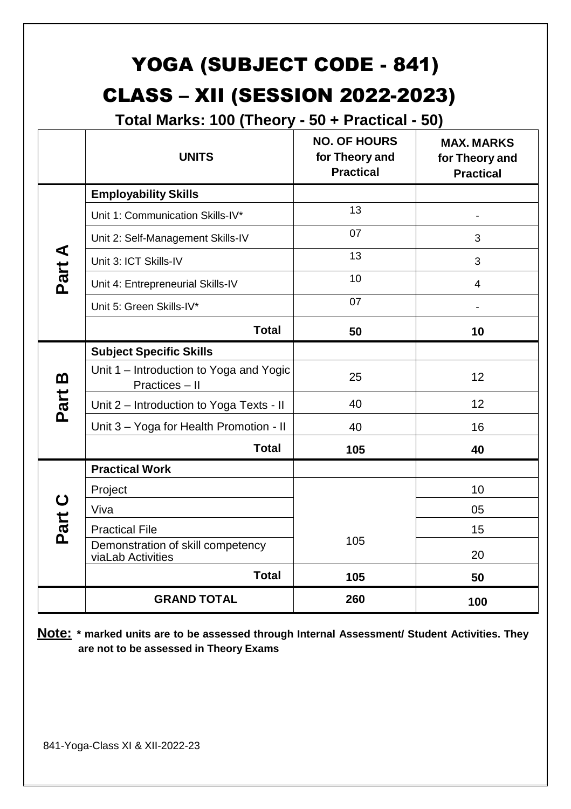# YOGA (SUBJECT CODE - 841) CLASS – XII (SESSION 2022-2023)

**Total Marks: 100 (Theory - 50 + Practical - 50)**

|          | <b>UNITS</b>                                              | <b>NO. OF HOURS</b><br>for Theory and<br><b>Practical</b> | <b>MAX. MARKS</b><br>for Theory and<br><b>Practical</b> |
|----------|-----------------------------------------------------------|-----------------------------------------------------------|---------------------------------------------------------|
|          | <b>Employability Skills</b>                               |                                                           |                                                         |
|          | Unit 1: Communication Skills-IV*                          | 13                                                        |                                                         |
|          | Unit 2: Self-Management Skills-IV                         | 07                                                        | 3                                                       |
| Part A   | Unit 3: ICT Skills-IV                                     | 13                                                        | 3                                                       |
|          | Unit 4: Entrepreneurial Skills-IV                         | 10                                                        | 4                                                       |
|          | Unit 5: Green Skills-IV*                                  | 07                                                        |                                                         |
|          | <b>Total</b>                                              | 50                                                        | 10                                                      |
|          | <b>Subject Specific Skills</b>                            |                                                           |                                                         |
| <u>ന</u> | Unit 1 - Introduction to Yoga and Yogic<br>Practices - II | 25                                                        | 12                                                      |
| Part     | Unit 2 - Introduction to Yoga Texts - II                  | 40                                                        | 12                                                      |
|          | Unit 3 - Yoga for Health Promotion - II                   | 40                                                        | 16                                                      |
|          | <b>Total</b>                                              | 105                                                       | 40                                                      |
|          | <b>Practical Work</b>                                     |                                                           |                                                         |
|          | Project                                                   |                                                           | 10                                                      |
| Part C   | Viva                                                      |                                                           | 05                                                      |
|          | <b>Practical File</b>                                     |                                                           | 15                                                      |
|          | Demonstration of skill competency<br>viaLab Activities    | 105                                                       | 20                                                      |
|          | <b>Total</b>                                              | 105                                                       | 50                                                      |
|          | <b>GRAND TOTAL</b>                                        | 260                                                       | 100                                                     |

**Note: \* marked units are to be assessed through Internal Assessment/ Student Activities. They are not to be assessed in Theory Exams**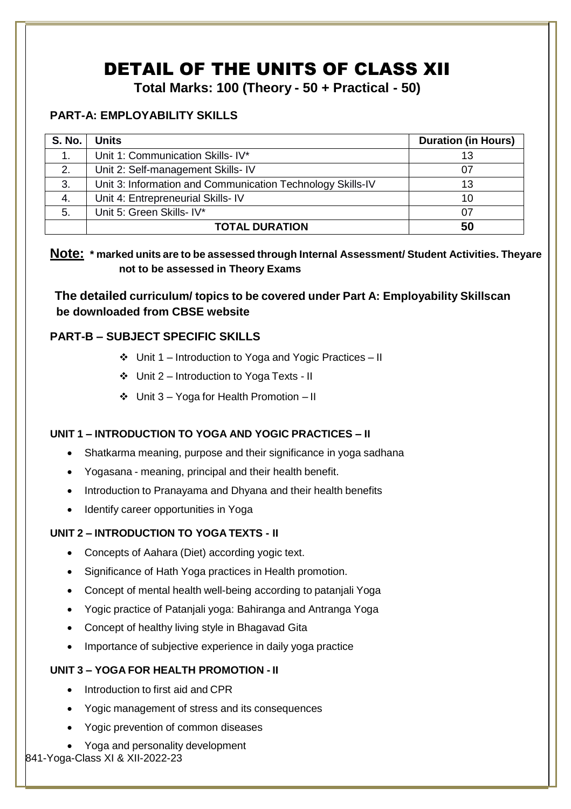## DETAIL OF THE UNITS OF CLASS XII

**Total Marks: 100 (Theory - 50 + Practical - 50)**

## **PART-A: EMPLOYABILITY SKILLS**

| <b>S. No.</b> | <b>Units</b>                                               | <b>Duration (in Hours)</b> |
|---------------|------------------------------------------------------------|----------------------------|
|               | Unit 1: Communication Skills- IV*                          | 13                         |
| 2.            | Unit 2: Self-management Skills- IV                         | 07                         |
| 3.            | Unit 3: Information and Communication Technology Skills-IV | 13                         |
| 4.            | Unit 4: Entrepreneurial Skills- IV                         | 10                         |
| 5.            | Unit 5: Green Skills- IV*                                  | 07                         |
|               | <b>TOTAL DURATION</b>                                      | 50                         |

**Note: \* marked units are to be assessed through Internal Assessment/ Student Activities. Theyare not to be assessed in Theory Exams**

**The detailed curriculum/ topics to be covered under Part A: Employability Skillscan be downloaded from CBSE website**

## **PART-B – SUBJECT SPECIFIC SKILLS**

- Unit 1 Introduction to Yoga and Yogic Practices II
- Unit 2 Introduction to Yoga Texts II
- $\div$  Unit 3 Yoga for Health Promotion II

## **UNIT 1 – INTRODUCTION TO YOGA AND YOGIC PRACTICES – II**

- Shatkarma meaning, purpose and their significance in yoga sadhana
- Yogasana meaning, principal and their health benefit.
- Introduction to Pranayama and Dhyana and their health benefits
- Identify career opportunities in Yoga

## **UNIT 2 – INTRODUCTION TO YOGA TEXTS - II**

- Concepts of Aahara (Diet) according yogic text.
- Significance of Hath Yoga practices in Health promotion.
- Concept of mental health well-being according to patanjali Yoga
- Yogic practice of Patanjali yoga: Bahiranga and Antranga Yoga
- Concept of healthy living style in Bhagavad Gita
- Importance of subjective experience in daily yoga practice

## **UNIT 3 – YOGA FOR HEALTH PROMOTION - II**

- Introduction to first aid and CPR
- Yogic management of stress and its consequences
- Yogic prevention of common diseases
- Yoga and personality development 841-Yoga-Class XI & XII-2022-23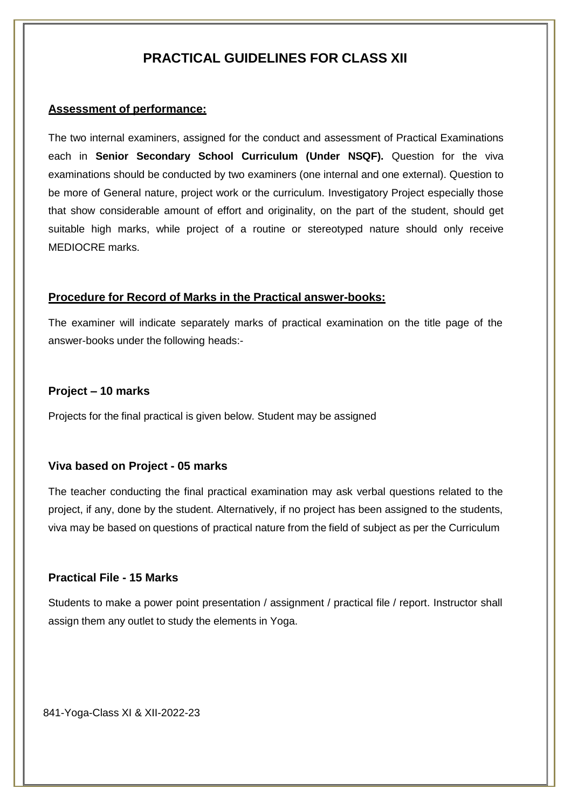## **PRACTICAL GUIDELINES FOR CLASS XII**

#### **Assessment of performance:**

The two internal examiners, assigned for the conduct and assessment of Practical Examinations each in **Senior Secondary School Curriculum (Under NSQF).** Question for the viva examinations should be conducted by two examiners (one internal and one external). Question to be more of General nature, project work or the curriculum. Investigatory Project especially those that show considerable amount of effort and originality, on the part of the student, should get suitable high marks, while project of a routine or stereotyped nature should only receive MEDIOCRE marks.

#### **Procedure for Record of Marks in the Practical answer-books:**

The examiner will indicate separately marks of practical examination on the title page of the answer-books under the following heads:-

## **Project – 10 marks**

Projects for the final practical is given below. Student may be assigned

#### **Viva based on Project - 05 marks**

The teacher conducting the final practical examination may ask verbal questions related to the project, if any, done by the student. Alternatively, if no project has been assigned to the students, viva may be based on questions of practical nature from the field of subject as per the Curriculum

#### **Practical File - 15 Marks**

Students to make a power point presentation / assignment / practical file / report. Instructor shall assign them any outlet to study the elements in Yoga.

841-Yoga-Class XI & XII-2022-23